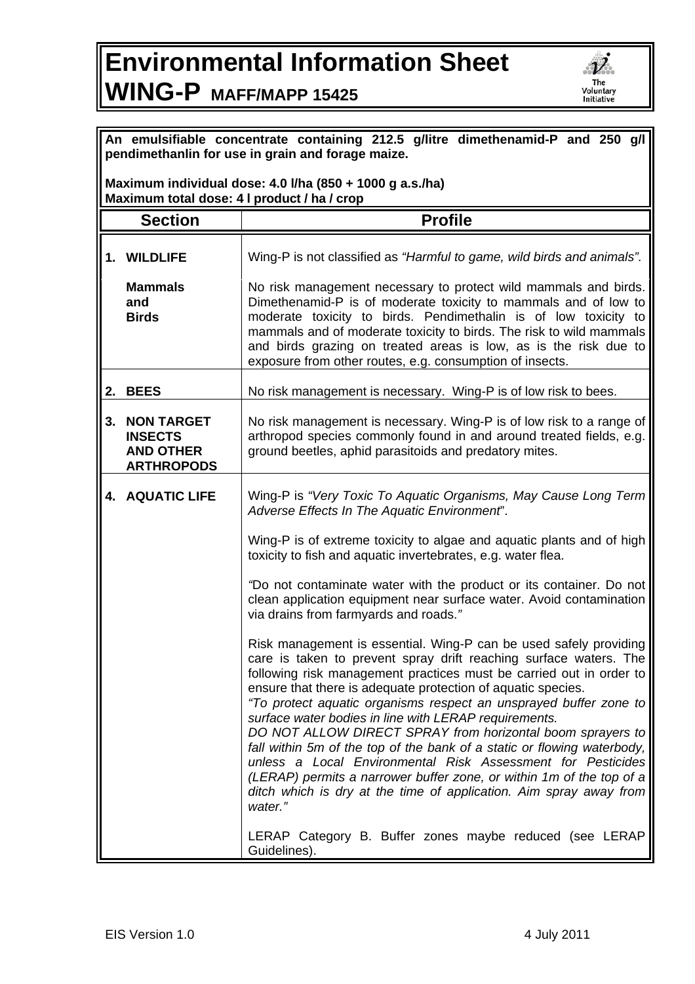## **Environmental Information Sheet WING-P MAFF/MAPP 15425**



| An emulsifiable concentrate containing 212.5 g/litre dimethenamid-P and 250 g/l<br>pendimethanlin for use in grain and forage maize. |                                                                              |                                                                                                                                                                                                                                                                                                                                                                                                                                                                                                                                                                                                                                                                                                                                                                              |  |
|--------------------------------------------------------------------------------------------------------------------------------------|------------------------------------------------------------------------------|------------------------------------------------------------------------------------------------------------------------------------------------------------------------------------------------------------------------------------------------------------------------------------------------------------------------------------------------------------------------------------------------------------------------------------------------------------------------------------------------------------------------------------------------------------------------------------------------------------------------------------------------------------------------------------------------------------------------------------------------------------------------------|--|
| Maximum individual dose: 4.0 I/ha (850 + 1000 g a.s./ha)<br>Maximum total dose: 4 I product / ha / crop                              |                                                                              |                                                                                                                                                                                                                                                                                                                                                                                                                                                                                                                                                                                                                                                                                                                                                                              |  |
|                                                                                                                                      | <b>Section</b>                                                               | <b>Profile</b>                                                                                                                                                                                                                                                                                                                                                                                                                                                                                                                                                                                                                                                                                                                                                               |  |
|                                                                                                                                      | 1. WILDLIFE                                                                  | Wing-P is not classified as "Harmful to game, wild birds and animals".                                                                                                                                                                                                                                                                                                                                                                                                                                                                                                                                                                                                                                                                                                       |  |
|                                                                                                                                      | <b>Mammals</b><br>and<br><b>Birds</b>                                        | No risk management necessary to protect wild mammals and birds.<br>Dimethenamid-P is of moderate toxicity to mammals and of low to<br>moderate toxicity to birds. Pendimethalin is of low toxicity to<br>mammals and of moderate toxicity to birds. The risk to wild mammals<br>and birds grazing on treated areas is low, as is the risk due to<br>exposure from other routes, e.g. consumption of insects.                                                                                                                                                                                                                                                                                                                                                                 |  |
|                                                                                                                                      | 2. BEES                                                                      | No risk management is necessary. Wing-P is of low risk to bees.                                                                                                                                                                                                                                                                                                                                                                                                                                                                                                                                                                                                                                                                                                              |  |
| 3.                                                                                                                                   | <b>NON TARGET</b><br><b>INSECTS</b><br><b>AND OTHER</b><br><b>ARTHROPODS</b> | No risk management is necessary. Wing-P is of low risk to a range of<br>arthropod species commonly found in and around treated fields, e.g.<br>ground beetles, aphid parasitoids and predatory mites.                                                                                                                                                                                                                                                                                                                                                                                                                                                                                                                                                                        |  |
|                                                                                                                                      | 4. AQUATIC LIFE                                                              | Wing-P is "Very Toxic To Aquatic Organisms, May Cause Long Term<br>Adverse Effects In The Aquatic Environment".                                                                                                                                                                                                                                                                                                                                                                                                                                                                                                                                                                                                                                                              |  |
|                                                                                                                                      |                                                                              | Wing-P is of extreme toxicity to algae and aquatic plants and of high<br>toxicity to fish and aquatic invertebrates, e.g. water flea.                                                                                                                                                                                                                                                                                                                                                                                                                                                                                                                                                                                                                                        |  |
|                                                                                                                                      |                                                                              | "Do not contaminate water with the product or its container. Do not<br>clean application equipment near surface water. Avoid contamination<br>via drains from farmyards and roads."                                                                                                                                                                                                                                                                                                                                                                                                                                                                                                                                                                                          |  |
|                                                                                                                                      |                                                                              | Risk management is essential. Wing-P can be used safely providing<br>care is taken to prevent spray drift reaching surface waters. The<br>following risk management practices must be carried out in order to<br>ensure that there is adequate protection of aquatic species.<br>"To protect aquatic organisms respect an unsprayed buffer zone to<br>surface water bodies in line with LERAP requirements.<br>DO NOT ALLOW DIRECT SPRAY from horizontal boom sprayers to<br>fall within 5m of the top of the bank of a static or flowing waterbody,<br>unless a Local Environmental Risk Assessment for Pesticides<br>(LERAP) permits a narrower buffer zone, or within 1m of the top of a<br>ditch which is dry at the time of application. Aim spray away from<br>water." |  |
|                                                                                                                                      |                                                                              | LERAP Category B. Buffer zones maybe reduced (see LERAP<br>Guidelines).                                                                                                                                                                                                                                                                                                                                                                                                                                                                                                                                                                                                                                                                                                      |  |